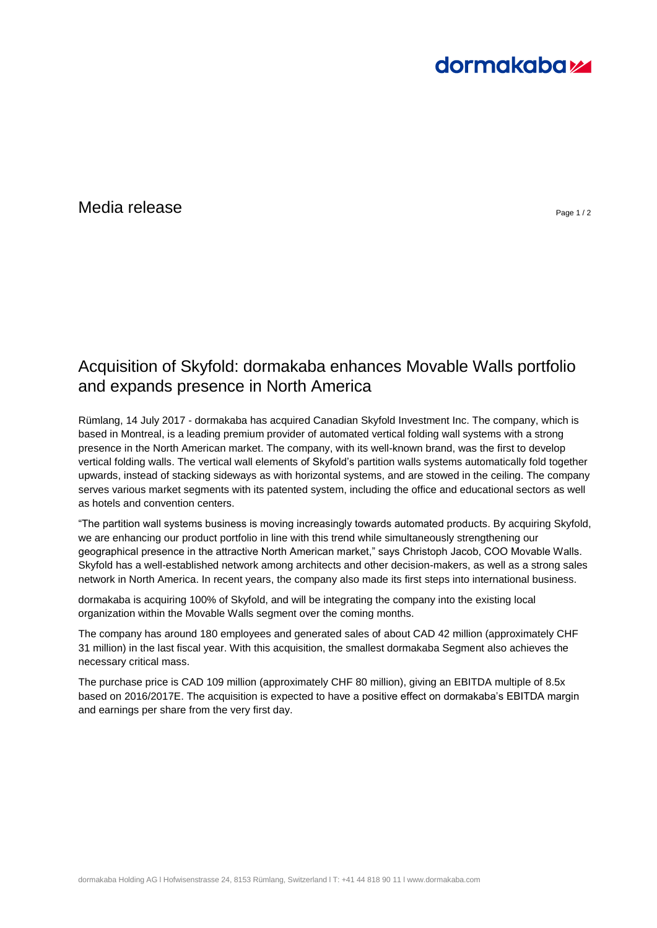# **dormakabazz**

## $\blacksquare$ Media release  $\blacksquare$

## Acquisition of Skyfold: dormakaba enhances Movable Walls portfolio and expands presence in North America

Rümlang, 14 July 2017 - dormakaba has acquired Canadian Skyfold Investment Inc. The company, which is based in Montreal, is a leading premium provider of automated vertical folding wall systems with a strong presence in the North American market. The company, with its well-known brand, was the first to develop vertical folding walls. The vertical wall elements of Skyfold's partition walls systems automatically fold together upwards, instead of stacking sideways as with horizontal systems, and are stowed in the ceiling. The company serves various market segments with its patented system, including the office and educational sectors as well as hotels and convention centers.

"The partition wall systems business is moving increasingly towards automated products. By acquiring Skyfold, we are enhancing our product portfolio in line with this trend while simultaneously strengthening our geographical presence in the attractive North American market," says Christoph Jacob, COO Movable Walls. Skyfold has a well-established network among architects and other decision-makers, as well as a strong sales network in North America. In recent years, the company also made its first steps into international business.

dormakaba is acquiring 100% of Skyfold, and will be integrating the company into the existing local organization within the Movable Walls segment over the coming months.

The company has around 180 employees and generated sales of about CAD 42 million (approximately CHF 31 million) in the last fiscal year. With this acquisition, the smallest dormakaba Segment also achieves the necessary critical mass.

The purchase price is CAD 109 million (approximately CHF 80 million), giving an EBITDA multiple of 8.5x based on 2016/2017E. The acquisition is expected to have a positive effect on dormakaba's EBITDA margin and earnings per share from the very first day.